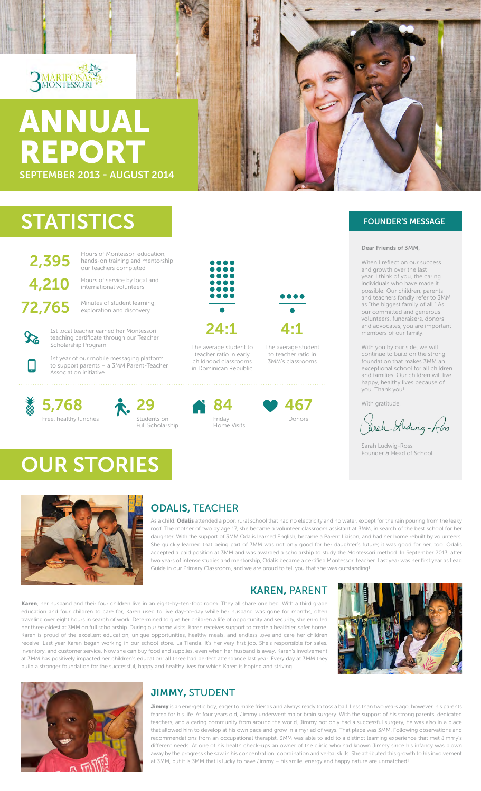

# SEPTEMBER 2013 - AUGUST 2014 ANNUAL REPORT

# **STATISTICS**

**2,395** Hours of Montessori education,<br>
our teachers completed our teachers completed

4,210 Hours of service by local and<br>international volunteers international volunteers

72,765 Minutes of student learning, exploration and discovery



1st local teacher earned her Montessori teaching certificate through our Teacher Scholarship Program

1st year of our mobile messaging platform to support parents – a 3MM Parent-Teacher Association initiative



衣. 29 Students on Full Scholarship









#### Dear Friends of 3MM,

When I reflect on our success and growth over the last year, I think of you, the caring individuals who have made it possible. Our children, parents and teachers fondly refer to 3MM as "the biggest family of all." As our committed and generous volunteers, fundraisers, donors and advocates, you are important members of our family.

With you by our side, we will continue to build on the strong foundation that makes 3MM an exceptional school for all children and families. Our children will live happy, healthy lives because of you. Thank you!

With gratitude,

Arch Andevig-Row

Sarah Ludwig-Ross Founder & Head of School



OUR STORIES

### ODALIS, TEACHER

As a child, Odalis attended a poor, rural school that had no electricity and no water, except for the rain pouring from the leaky roof. The mother of two by age 17, she became a volunteer classroom assistant at 3MM, in search of the best school for her daughter. With the support of 3MM Odalis learned English, became a Parent Liaison, and had her home rebuilt by volunteers. She quickly learned that being part of 3MM was not only good for her daughter's future; it was good for her, too. Odalis accepted a paid position at 3MM and was awarded a scholarship to study the Montessori method. In September 2013, after two years of intense studies and mentorship, Odalis became a certified Montessori teacher. Last year was her first year as Lead Guide in our Primary Classroom, and we are proud to tell you that she was outstanding!

### KAREN, PARENT

Karen, her husband and their four children live in an eight-by-ten-foot room. They all share one bed. With a third grade education and four children to care for, Karen used to live day-to-day while her husband was gone for months, often traveling over eight hours in search of work. Determined to give her children a life of opportunity and security, she enrolled her three oldest at 3MM on full scholarship. During our home visits, Karen receives support to create a healthier, safer home. Karen is proud of the excellent education, unique opportunities, healthy meals, and endless love and care her children receive. Last year Karen began working in our school store, La Tienda. It's her very first job. She's responsible for sales, inventory, and customer service. Now she can buy food and supplies, even when her husband is away. Karen's involvement at 3MM has positively impacted her children's education; all three had perfect attendance last year. Every day at 3MM they build a stronger foundation for the successful, happy and healthy lives for which Karen is hoping and striving.





### JIMMY, STUDENT

Jimmy is an energetic boy, eager to make friends and always ready to toss a ball. Less than two years ago, however, his parents feared for his life. At four years old, Jimmy underwent major brain surgery. With the support of his strong parents, dedicated teachers, and a caring community from around the world, Jimmy not only had a successful surgery, he was also in a place that allowed him to develop at his own pace and grow in a myriad of ways. That place was 3MM. Following observations and recommendations from an occupational therapist, 3MM was able to add to a distinct learning experience that met Jimmy's different needs. At one of his health check-ups an owner of the clinic who had known Jimmy since his infancy was blown away by the progress she saw in his concentration, coordination and verbal skills. She attributed this growth to his involvement at 3MM, but it is 3MM that is lucky to have Jimmy – his smile, energy and happy nature are unmatched!

in Dominican Republic

The average student to teacher ratio in early childhood classrooms

24:1



The average student to teacher ratio in 3MM's classrooms

. . . . . . . . . . . . . . . . . .

4:1